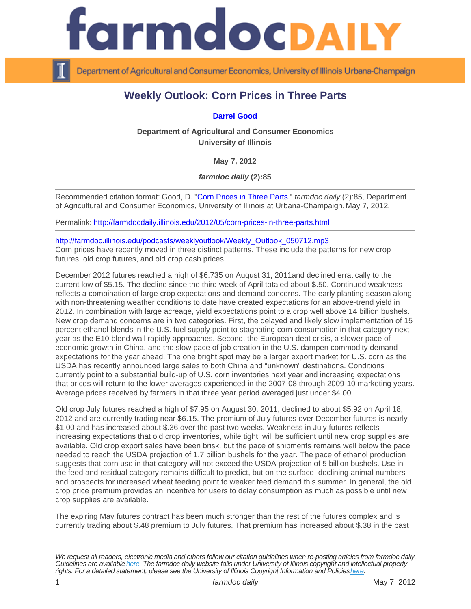## Weekly Outlook: Corn Prices in Three Parts

## [Darrel Good](http://www.farmdoc.illinois.edu/good/)

Department of Agricultural and Consumer Economics University of Illinois

May 7, 2012

farmdoc daily (2):85

Recommended citation format: Good, D. "[Corn Prices in Three Parts.](http://farmdocdaily.illinois.edu/2012/05/corn-prices-in-three-parts.html)" farmdoc daily (2):85, Department of Agricultural and Consumer Economics, University of Illinois at Urbana-Champaign, May 7, 2012.

Permalink:<http://farmdocdaily.illinois.edu/2012/05/corn-prices-in-three-parts.html>

[http://farmdoc.illinois.edu/podcasts/weeklyoutlook/Weekly\\_Outlook\\_050712.mp3](http://farmdoc.illinois.edu/podcasts/weeklyoutlook/Weekly_Outlook_050712.mp3)

Corn prices have recently moved in three distinct patterns. These include the patterns for new crop futures, old crop futures, and old crop cash prices.

December 2012 futures reached a high of \$6.735 on August 31, 2011and declined erratically to the current low of \$5.15. The decline since the third week of April totaled about \$.50. Continued weakness reflects a combination of large crop expectations and demand concerns. The early planting season along with non-threatening weather conditions to date have created expectations for an above-trend yield in 2012. In combination with large acreage, yield expectations point to a crop well above 14 billion bushels. New crop demand concerns are in two categories. First, the delayed and likely slow implementation of 15 percent ethanol blends in the U.S. fuel supply point to stagnating corn consumption in that category next year as the E10 blend wall rapidly approaches. Second, the European debt crisis, a slower pace of economic growth in China, and the slow pace of job creation in the U.S. dampen commodity demand expectations for the year ahead. The one bright spot may be a larger export market for U.S. corn as the USDA has recently announced large sales to both China and "unknown" destinations. Conditions currently point to a substantial build-up of U.S. corn inventories next year and increasing expectations that prices will return to the lower averages experienced in the 2007-08 through 2009-10 marketing years. Average prices received by farmers in that three year period averaged just under \$4.00.

Old crop July futures reached a high of \$7.95 on August 30, 2011, declined to about \$5.92 on April 18, 2012 and are currently trading near \$6.15. The premium of July futures over December futures is nearly \$1.00 and has increased about \$.36 over the past two weeks. Weakness in July futures reflects increasing expectations that old crop inventories, while tight, will be sufficient until new crop supplies are available. Old crop export sales have been brisk, but the pace of shipments remains well below the pace needed to reach the USDA projection of 1.7 billion bushels for the year. The pace of ethanol production suggests that corn use in that category will not exceed the USDA projection of 5 billion bushels. Use in the feed and residual category remains difficult to predict, but on the surface, declining animal numbers and prospects for increased wheat feeding point to weaker feed demand this summer. In general, the old crop price premium provides an incentive for users to delay consumption as much as possible until new crop supplies are available.

The expiring May futures contract has been much stronger than the rest of the futures complex and is currently trading about \$.48 premium to July futures. That premium has increased about \$.38 in the past

We request all readers, electronic media and others follow our citation guidelines when re-posting articles from farmdoc daily. Guidelines are available [here](http://farmdocdaily.illinois.edu/citationguide.html). The farmdoc daily website falls under University of Illinois copyright and intellectual property rights. For a detailed statement, please see the University of Illinois Copyright Information and Policies [here.](https://techservices.illinois.edu/office-cio)